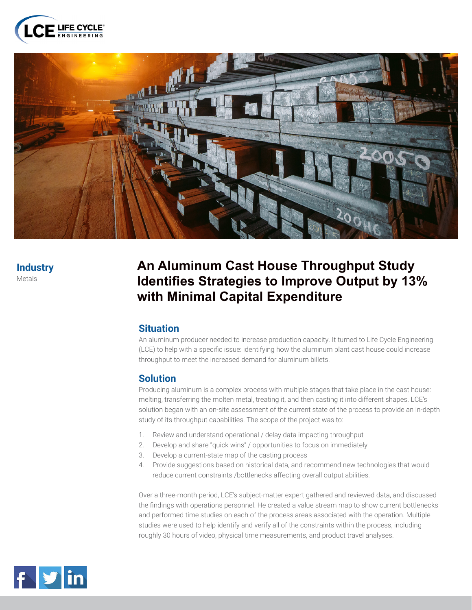



# **Industry**

Metals

## **An Aluminum Cast House Throughput Study Identifies Strategies to Improve Output by 13% with Minimal Capital Expenditure**

### **Situation**

An aluminum producer needed to increase production capacity. It turned to Life Cycle Engineering (LCE) to help with a specific issue: identifying how the aluminum plant cast house could increase throughput to meet the increased demand for aluminum billets.

### **Solution**

Producing aluminum is a complex process with multiple stages that take place in the cast house: melting, transferring the molten metal, treating it, and then casting it into different shapes. LCE's solution began with an on-site assessment of the current state of the process to provide an in-depth study of its throughput capabilities. The scope of the project was to:

- 1. Review and understand operational / delay data impacting throughput
- 2. Develop and share "quick wins" / opportunities to focus on immediately
- 3. Develop a current-state map of the casting process
- 4. Provide suggestions based on historical data, and recommend new technologies that would reduce current constraints /bottlenecks affecting overall output abilities.

Over a three-month period, LCE's subject-matter expert gathered and reviewed data, and discussed the findings with operations personnel. He created a value stream map to show current bottlenecks and performed time studies on each of the process areas associated with the operation. Multiple studies were used to help identify and verify all of the constraints within the process, including roughly 30 hours of video, physical time measurements, and product travel analyses.